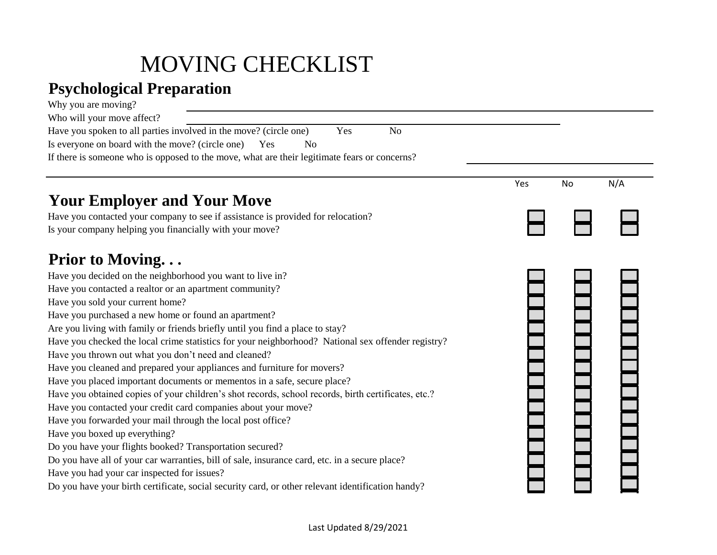## MOVING CHECKLIST

## **Psychological Preparation**

| Why you are moving?                                                                                 |     |    |     |
|-----------------------------------------------------------------------------------------------------|-----|----|-----|
| Who will your move affect?                                                                          |     |    |     |
| Have you spoken to all parties involved in the move? (circle one)<br>Yes<br>N <sub>o</sub>          |     |    |     |
| Is everyone on board with the move? (circle one)<br>Yes<br>N <sub>o</sub>                           |     |    |     |
| If there is someone who is opposed to the move, what are their legitimate fears or concerns?        |     |    |     |
|                                                                                                     |     |    |     |
|                                                                                                     | Yes | No | N/A |
| <b>Your Employer and Your Move</b>                                                                  |     |    |     |
| Have you contacted your company to see if assistance is provided for relocation?                    |     |    |     |
| Is your company helping you financially with your move?                                             |     |    |     |
|                                                                                                     |     |    |     |
| Prior to Moving                                                                                     |     |    |     |
| Have you decided on the neighborhood you want to live in?                                           |     |    |     |
| Have you contacted a realtor or an apartment community?                                             |     |    |     |
| Have you sold your current home?                                                                    |     |    |     |
| Have you purchased a new home or found an apartment?                                                |     |    |     |
| Are you living with family or friends briefly until you find a place to stay?                       |     |    |     |
| Have you checked the local crime statistics for your neighborhood? National sex offender registry?  |     |    |     |
| Have you thrown out what you don't need and cleaned?                                                |     |    |     |
| Have you cleaned and prepared your appliances and furniture for movers?                             |     |    |     |
| Have you placed important documents or mementos in a safe, secure place?                            |     |    |     |
| Have you obtained copies of your children's shot records, school records, birth certificates, etc.? |     |    |     |
| Have you contacted your credit card companies about your move?                                      |     |    |     |
| Have you forwarded your mail through the local post office?                                         |     |    |     |
| Have you boxed up everything?                                                                       |     |    |     |
| Do you have your flights booked? Transportation secured?                                            |     |    |     |
| Do you have all of your car warranties, bill of sale, insurance card, etc. in a secure place?       |     |    |     |
| Have you had your car inspected for issues?                                                         |     |    |     |
| Do you have your birth certificate, social security card, or other relevant identification handy?   |     |    |     |